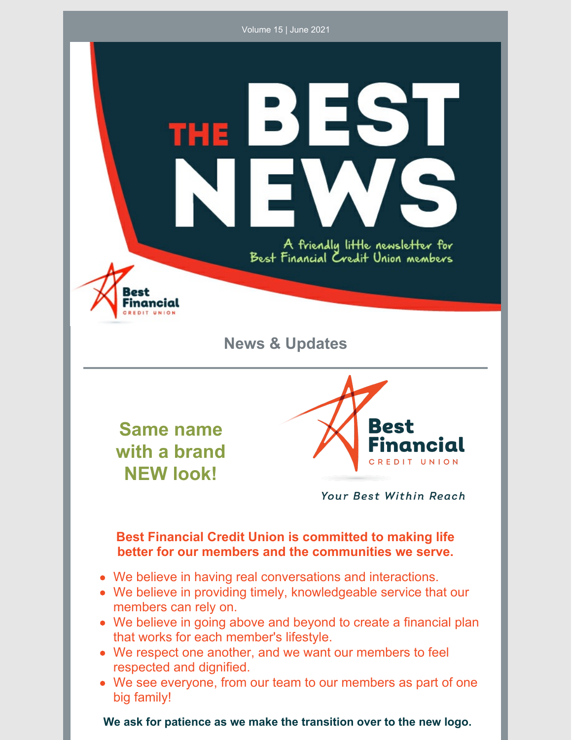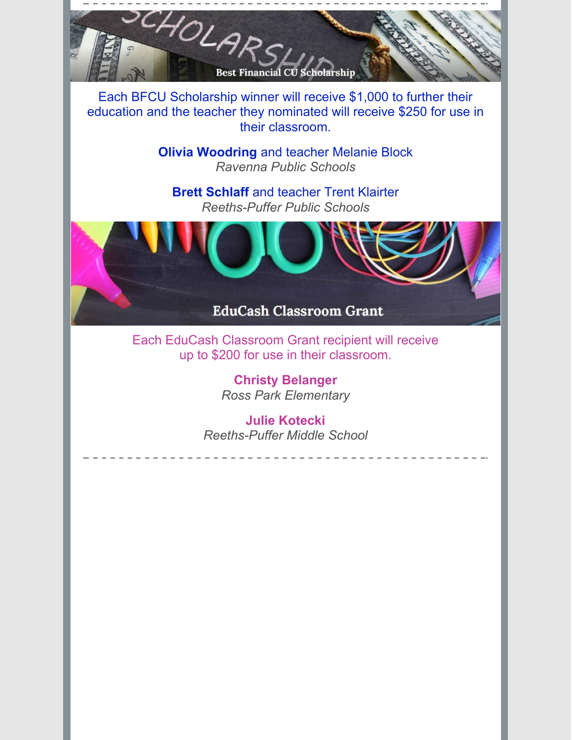SCHOLARS **Best Financial CU Scholarship** 

Each BFCU Scholarship winner will receive \$1,000 to further their education and the teacher they nominated will receive \$250 for use in their classroom.

> **Olivia Woodring** and teacher Melanie Block *Ravenna Public Schools*

**Brett Schlaff** and teacher Trent Klairter *Reeths-Puffer Public Schools*



Each EduCash Classroom Grant recipient will receive up to \$200 for use in their classroom.

> **Christy Belanger** *Ross Park Elementary*

**Julie Kotecki** *Reeths-Puffer Middle School*